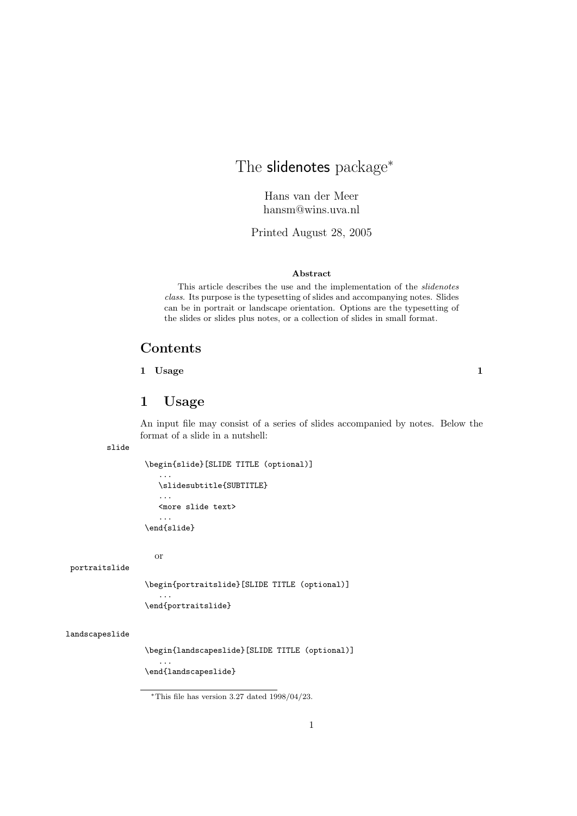# The slidenotes package<sup>\*</sup>

Hans van der Meer hansm@wins.uva.nl

Printed August 28, 2005

#### **Abstract**

This article describes the use and the implementation of the *slidenotes class*. Its purpose is the typesetting of slides and accompanying notes. Slides can be in portrait or landscape orientation. Options are the typesetting of the slides or slides plus notes, or a collection of slides in small format.

## **Contents**

### **1 Usage 1**

# **1 Usage**

An input file may consist of a series of slides accompanied by notes. Below the format of a slide in a nutshell:

slide

```
\begin{slide}[SLIDE TITLE (optional)]
```

```
...
   \slidesubtitle{SUBTITLE}
   ...
   <more slide text>
   ...
\end{slide}
```
or

...

...

portraitslide

\begin{portraitslide}[SLIDE TITLE (optional)]

```
\end{portraitslide}
```
#### landscapeslide

\begin{landscapeslide}[SLIDE TITLE (optional)]

\end{landscapeslide}

<sup>\*</sup>This file has version  $3.27 \text{ dated } 1998/04/23$ .